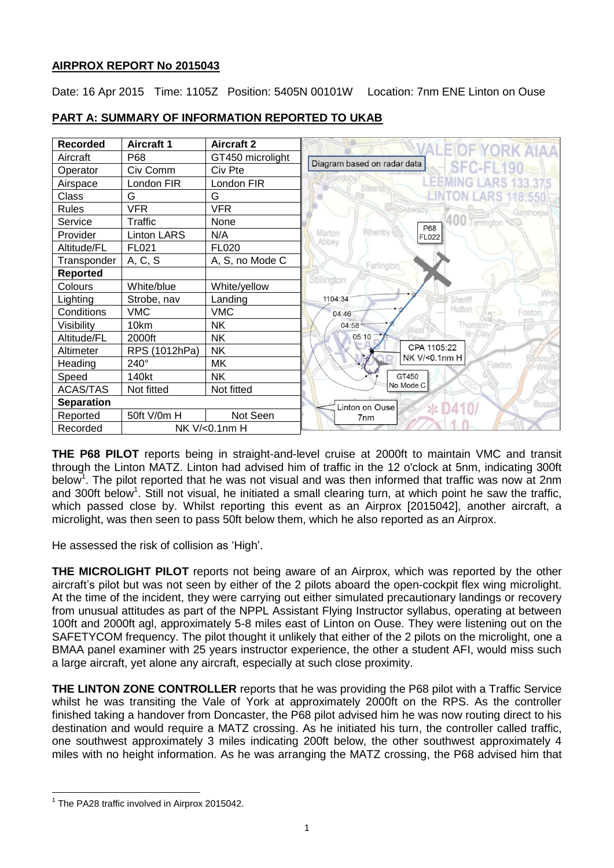# **AIRPROX REPORT No 2015043**

Date: 16 Apr 2015 Time: 1105Z Position: 5405N 00101W Location: 7nm ENE Linton on Ouse



# **PART A: SUMMARY OF INFORMATION REPORTED TO UKAB**

<span id="page-0-0"></span>**THE P68 PILOT** reports being in straight-and-level cruise at 2000ft to maintain VMC and transit through the Linton MATZ. Linton had advised him of traffic in the 12 o'clock at 5nm, indicating 300ft below<sup>1</sup>. The pilot reported that he was not visual and was then informed that traffic was now at 2nm and 300ft below<sup>[1](#page-0-0)</sup>. Still not visual, he initiated a small clearing turn, at which point he saw the traffic, which passed close by. Whilst reporting this event as an Airprox [2015042], another aircraft, a microlight, was then seen to pass 50ft below them, which he also reported as an Airprox.

He assessed the risk of collision as 'High'.

**THE MICROLIGHT PILOT** reports not being aware of an Airprox, which was reported by the other aircraft's pilot but was not seen by either of the 2 pilots aboard the open-cockpit flex wing microlight. At the time of the incident, they were carrying out either simulated precautionary landings or recovery from unusual attitudes as part of the NPPL Assistant Flying Instructor syllabus, operating at between 100ft and 2000ft agl, approximately 5-8 miles east of Linton on Ouse. They were listening out on the SAFETYCOM frequency. The pilot thought it unlikely that either of the 2 pilots on the microlight, one a BMAA panel examiner with 25 years instructor experience, the other a student AFI, would miss such a large aircraft, yet alone any aircraft, especially at such close proximity.

**THE LINTON ZONE CONTROLLER** reports that he was providing the P68 pilot with a Traffic Service whilst he was transiting the Vale of York at approximately 2000ft on the RPS. As the controller finished taking a handover from Doncaster, the P68 pilot advised him he was now routing direct to his destination and would require a MATZ crossing. As he initiated his turn, the controller called traffic, one southwest approximately 3 miles indicating 200ft below, the other southwest approximately 4 miles with no height information. As he was arranging the MATZ crossing, the P68 advised him that

 $\overline{a}$ 

<sup>&</sup>lt;sup>1</sup> The PA28 traffic involved in Airprox 2015042.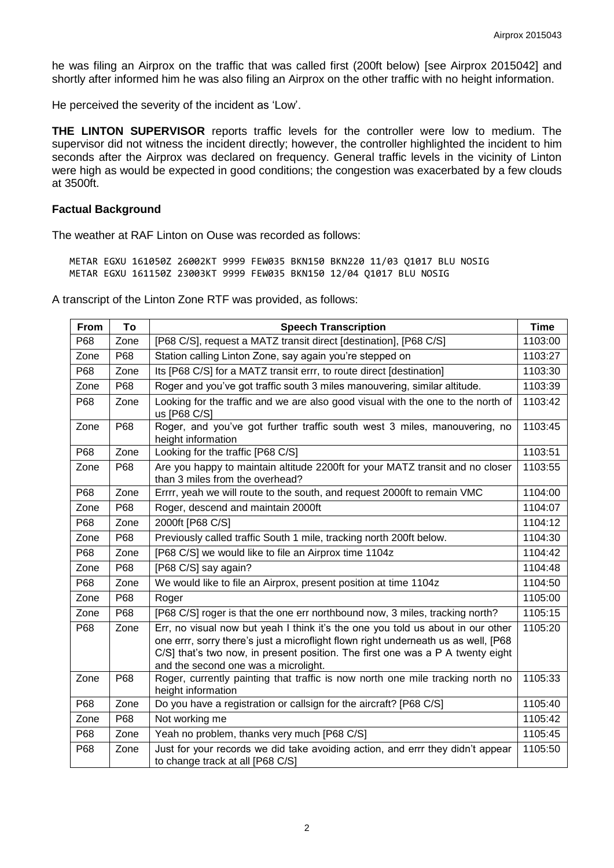he was filing an Airprox on the traffic that was called first (200ft below) [see Airprox 2015042] and shortly after informed him he was also filing an Airprox on the other traffic with no height information.

He perceived the severity of the incident as 'Low'.

**THE LINTON SUPERVISOR** reports traffic levels for the controller were low to medium. The supervisor did not witness the incident directly; however, the controller highlighted the incident to him seconds after the Airprox was declared on frequency. General traffic levels in the vicinity of Linton were high as would be expected in good conditions; the congestion was exacerbated by a few clouds at 3500ft.

#### **Factual Background**

The weather at RAF Linton on Ouse was recorded as follows:

METAR EGXU 161050Z 26002KT 9999 FEW035 BKN150 BKN220 11/03 Q1017 BLU NOSIG METAR EGXU 161150Z 23003KT 9999 FEW035 BKN150 12/04 Q1017 BLU NOSIG

A transcript of the Linton Zone RTF was provided, as follows:

| <b>From</b> | To   | <b>Speech Transcription</b>                                                                                                                                                                                                                                                                      | <b>Time</b> |
|-------------|------|--------------------------------------------------------------------------------------------------------------------------------------------------------------------------------------------------------------------------------------------------------------------------------------------------|-------------|
| P68         | Zone | [P68 C/S], request a MATZ transit direct [destination], [P68 C/S]                                                                                                                                                                                                                                | 1103:00     |
| Zone        | P68  | Station calling Linton Zone, say again you're stepped on                                                                                                                                                                                                                                         | 1103:27     |
| P68         | Zone | Its [P68 C/S] for a MATZ transit errr, to route direct [destination]                                                                                                                                                                                                                             | 1103:30     |
| Zone        | P68  | Roger and you've got traffic south 3 miles manouvering, similar altitude.                                                                                                                                                                                                                        | 1103:39     |
| P68         | Zone | Looking for the traffic and we are also good visual with the one to the north of<br>us [P68 C/S]                                                                                                                                                                                                 | 1103:42     |
| Zone        | P68  | Roger, and you've got further traffic south west 3 miles, manouvering, no<br>height information                                                                                                                                                                                                  | 1103:45     |
| P68         | Zone | Looking for the traffic [P68 C/S]                                                                                                                                                                                                                                                                | 1103:51     |
| Zone        | P68  | Are you happy to maintain altitude 2200ft for your MATZ transit and no closer<br>than 3 miles from the overhead?                                                                                                                                                                                 | 1103:55     |
| P68         | Zone | Errrr, yeah we will route to the south, and request 2000ft to remain VMC                                                                                                                                                                                                                         | 1104:00     |
| Zone        | P68  | Roger, descend and maintain 2000ft                                                                                                                                                                                                                                                               | 1104:07     |
| P68         | Zone | 2000ft [P68 C/S]                                                                                                                                                                                                                                                                                 | 1104:12     |
| Zone        | P68  | Previously called traffic South 1 mile, tracking north 200ft below.                                                                                                                                                                                                                              | 1104:30     |
| P68         | Zone | [P68 C/S] we would like to file an Airprox time 1104z                                                                                                                                                                                                                                            | 1104:42     |
| Zone        | P68  | [P68 C/S] say again?                                                                                                                                                                                                                                                                             | 1104:48     |
| P68         | Zone | We would like to file an Airprox, present position at time 1104z                                                                                                                                                                                                                                 | 1104:50     |
| Zone        | P68  | Roger                                                                                                                                                                                                                                                                                            | 1105:00     |
| Zone        | P68  | [P68 C/S] roger is that the one err northbound now, 3 miles, tracking north?                                                                                                                                                                                                                     | 1105:15     |
| P68         | Zone | Err, no visual now but yeah I think it's the one you told us about in our other<br>one errr, sorry there's just a microflight flown right underneath us as well, [P68]<br>C/S] that's two now, in present position. The first one was a P A twenty eight<br>and the second one was a microlight. | 1105:20     |
| Zone        | P68  | Roger, currently painting that traffic is now north one mile tracking north no<br>height information                                                                                                                                                                                             | 1105:33     |
| P68         | Zone | Do you have a registration or callsign for the aircraft? [P68 C/S]                                                                                                                                                                                                                               | 1105:40     |
| Zone        | P68  | Not working me                                                                                                                                                                                                                                                                                   | 1105:42     |
| P68         | Zone | Yeah no problem, thanks very much [P68 C/S]                                                                                                                                                                                                                                                      | 1105:45     |
| P68         | Zone | Just for your records we did take avoiding action, and errr they didn't appear<br>to change track at all [P68 C/S]                                                                                                                                                                               | 1105:50     |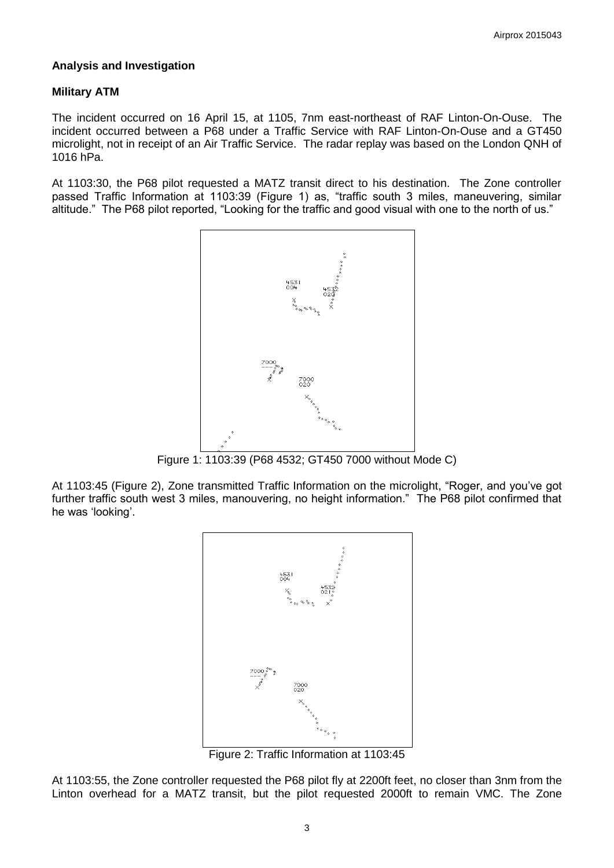### **Analysis and Investigation**

### **Military ATM**

The incident occurred on 16 April 15, at 1105, 7nm east-northeast of RAF Linton-On-Ouse. The incident occurred between a P68 under a Traffic Service with RAF Linton-On-Ouse and a GT450 microlight, not in receipt of an Air Traffic Service. The radar replay was based on the London QNH of 1016 hPa.

At 1103:30, the P68 pilot requested a MATZ transit direct to his destination. The Zone controller passed Traffic Information at 1103:39 (Figure 1) as, "traffic south 3 miles, maneuvering, similar altitude." The P68 pilot reported, "Looking for the traffic and good visual with one to the north of us."



Figure 1: 1103:39 (P68 4532; GT450 7000 without Mode C)

At 1103:45 (Figure 2), Zone transmitted Traffic Information on the microlight, "Roger, and you've got further traffic south west 3 miles, manouvering, no height information." The P68 pilot confirmed that he was 'looking'.



At 1103:55, the Zone controller requested the P68 pilot fly at 2200ft feet, no closer than 3nm from the Linton overhead for a MATZ transit, but the pilot requested 2000ft to remain VMC. The Zone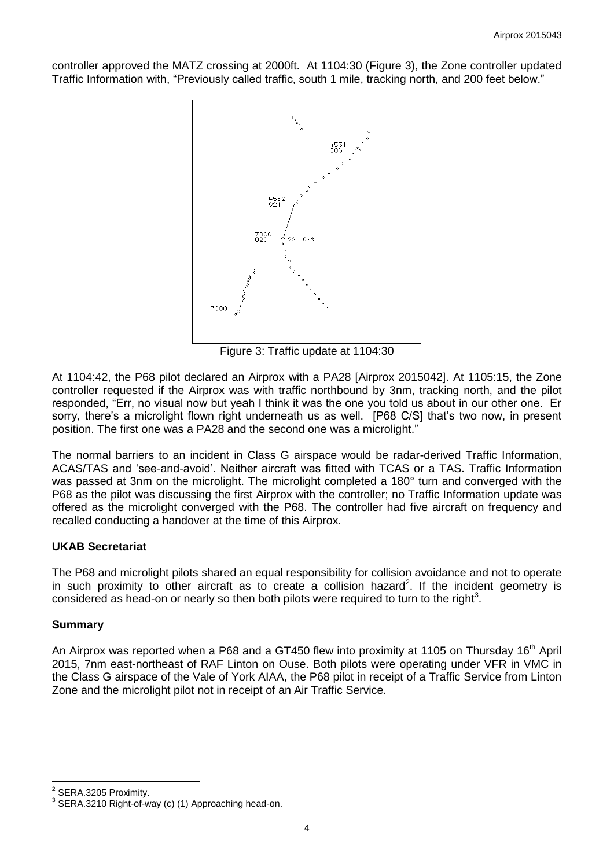controller approved the MATZ crossing at 2000ft. At 1104:30 (Figure 3), the Zone controller updated Traffic Information with, "Previously called traffic, south 1 mile, tracking north, and 200 feet below."



Figure 3: Traffic update at 1104:30

At 1104:42, the P68 pilot declared an Airprox with a PA28 [Airprox 2015042]. At 1105:15, the Zone controller requested if the Airprox was with traffic northbound by 3nm, tracking north, and the pilot responded, "Err, no visual now but yeah I think it was the one you told us about in our other one. Er sorry, there's a microlight flown right underneath us as well. [P68 C/S] that's two now, in present position. The first one was a PA28 and the second one was a microlight."

The normal barriers to an incident in Class G airspace would be radar-derived Traffic Information, ACAS/TAS and 'see-and-avoid'. Neither aircraft was fitted with TCAS or a TAS. Traffic Information was passed at 3nm on the microlight. The microlight completed a 180° turn and converged with the P68 as the pilot was discussing the first Airprox with the controller; no Traffic Information update was offered as the microlight converged with the P68. The controller had five aircraft on frequency and recalled conducting a handover at the time of this Airprox.

### **UKAB Secretariat**

The P68 and microlight pilots shared an equal responsibility for collision avoidance and not to operate in such proximity to other aircraft as to create a collision hazard<sup>2</sup>. If the incident geometry is considered as head-on or nearly so then both pilots were required to turn to the right<sup>3</sup>.

#### **Summary**

An Airprox was reported when a P68 and a GT450 flew into proximity at 1105 on Thursday 16<sup>th</sup> April 2015, 7nm east-northeast of RAF Linton on Ouse. Both pilots were operating under VFR in VMC in the Class G airspace of the Vale of York AIAA, the P68 pilot in receipt of a Traffic Service from Linton Zone and the microlight pilot not in receipt of an Air Traffic Service.

 2 SERA.3205 Proximity.

 $3$  SERA.3210 Right-of-way (c) (1) Approaching head-on.